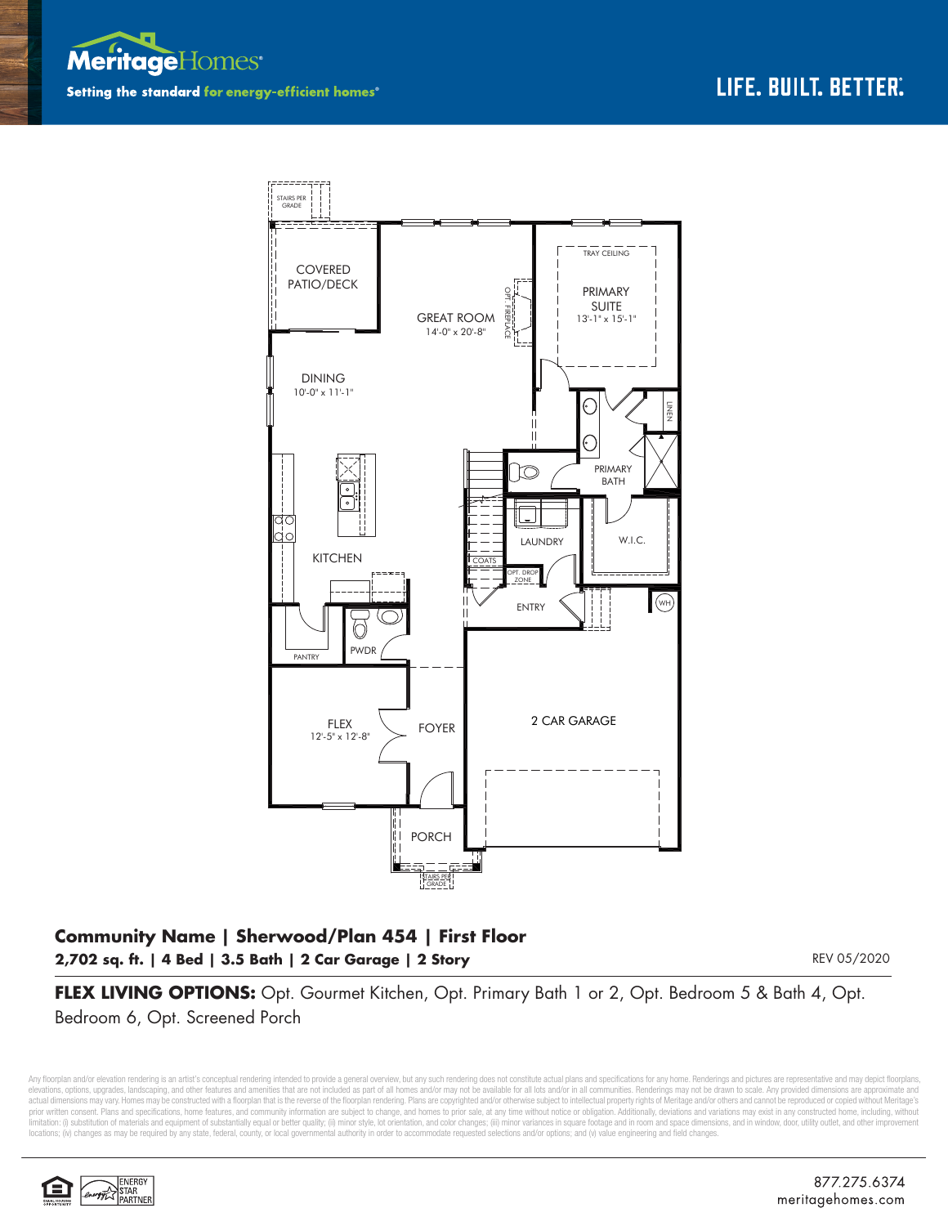



## **Community Name | Sherwood/Plan 454 | First Floor 2,702 sq. ft. | 4 Bed | 3.5 Bath | 2 Car Garage | 2 Story**

REV 05/2020

**FLEX LIVING OPTIONS:** Opt. Gourmet Kitchen, Opt. Primary Bath 1 or 2, Opt. Bedroom 5 & Bath 4, Opt. Bedroom 6, Opt. Screened Porch

Any floorplan and/or elevation rendering is an artist's conceptual rendering intended to provide a general overview, but any such rendering does not constitute actual plans and specifications for any home. Renderings and p elevations, opions, upgrades, landscaping, and other features and amenities that are not included as part of all homes and/or may not be available for all lots and/or in all communities. Renderings may not be drawn to scal prior written consent. Plans and specifications, home features, and community information are subject to change, and homes to prior sale, at any time without notice or obligation. Additionally, deviations and variations ma limitation: (i) substitution of materials and equipment of substantially equal or better quality; (ii) minor style, lot orientation, and color changes; (iii) minor variances in square footage and in room and space dimensio locations; (iv) changes as may be required by any state, federal, county, or local governmental authority in order to accommodate requested selections and/or options; and (v) value engineering and field changes.

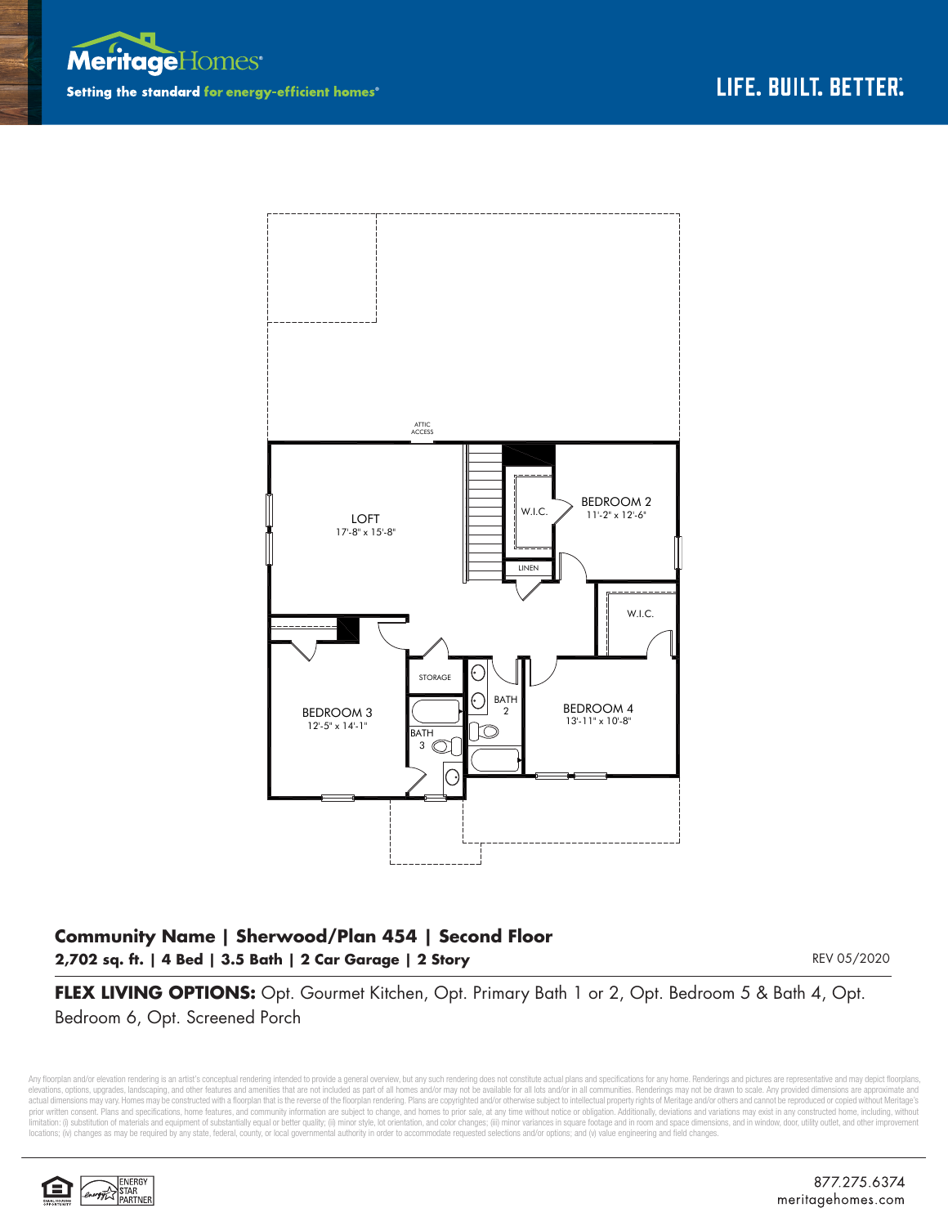



## **Community Name | Sherwood/Plan 454 | Second Floor 2,702 sq. ft. | 4 Bed | 3.5 Bath | 2 Car Garage | 2 Story**

REV 05/2020

**FLEX LIVING OPTIONS:** Opt. Gourmet Kitchen, Opt. Primary Bath 1 or 2, Opt. Bedroom 5 & Bath 4, Opt. Bedroom 6, Opt. Screened Porch

Any floorplan and/or elevation rendering is an artist's conceptual rendering intended to provide a general overview, but any such rendering does not constitute actual plans and specifications for any home. Renderings and p elevations, options, upgrades, landscaping, and other features and amenities that are not included as part of all homes and/or may not be available for all lots and/or in all communities. Renderings may not be drawn to sca limitation: (i) substitution of materials and equipment of substantially equal or better quality; (ii) minor style, lot orientation, and color changes; (iii) minor variances in square footage and in room and space dimensio locations; (iv) changes as may be required by any state, federal, county, or local governmental authority in order to accommodate requested selections and/or options; and (v) value engineering and field changes.